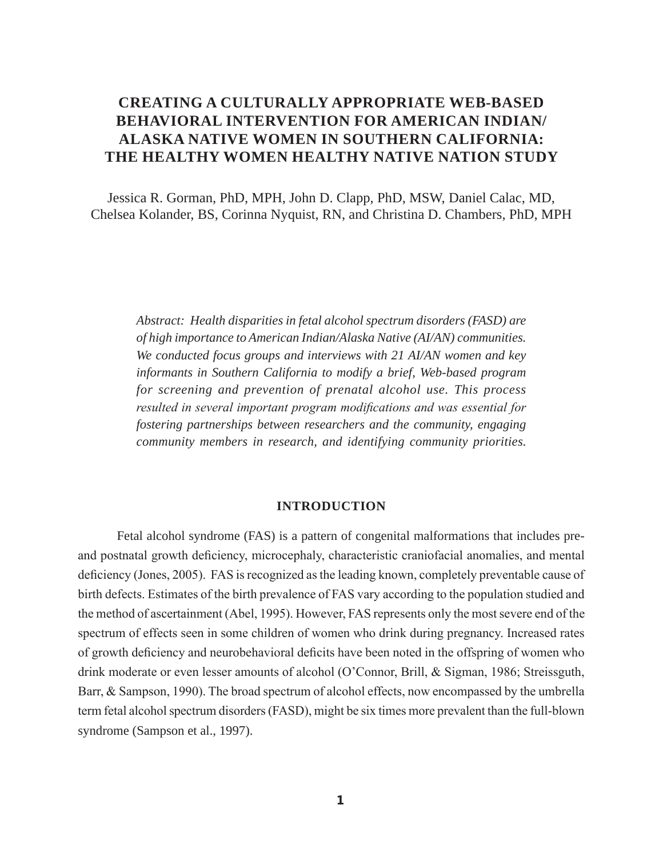# **CREATING A CULTURALLY APPROPRIATE WEB-BASED BEHAVIORAL INTERVENTION FOR AMERICAN INDIAN/ ALASKA NATIVE WOMEN IN SOUTHERN CALIFORNIA: THE HEALTHY WOMEN HEALTHY NATIVE NATION STUDY**

Jessica R. Gorman, PhD, MPH, John D. Clapp, PhD, MSW, Daniel Calac, MD, Chelsea Kolander, BS, Corinna Nyquist, RN, and Christina D. Chambers, PhD, MPH

*Abstract: Health disparities in fetal alcohol spectrum disorders (FASD) are of high importance to American Indian/Alaska Native (AI/AN) communities. We conducted focus groups and interviews with 21 AI/AN women and key informants in Southern California to modify a brief, Web-based program for screening and prevention of prenatal alcohol use. This process resulted in several important program modifications and was essential for fostering partnerships between researchers and the community, engaging community members in research, and identifying community priorities.* 

## **INTRODUCTION**

Fetal alcohol syndrome (FAS) is a pattern of congenital malformations that includes preand postnatal growth deficiency, microcephaly, characteristic craniofacial anomalies, and mental deficiency (Jones, 2005). FAS is recognized as the leading known, completely preventable cause of birth defects. Estimates of the birth prevalence of FAS vary according to the population studied and the method of ascertainment (Abel, 1995). However, FAS represents only the most severe end of the spectrum of effects seen in some children of women who drink during pregnancy. Increased rates of growth deficiency and neurobehavioral deficits have been noted in the offspring of women who drink moderate or even lesser amounts of alcohol (O'Connor, Brill,  $&$  Sigman, 1986; Streissguth, Barr, & Sampson, 1990). The broad spectrum of alcohol effects, now encompassed by the umbrella term fetal alcohol spectrum disorders (FASD), might be six times more prevalent than the full-blown syndrome (Sampson et al., 1997).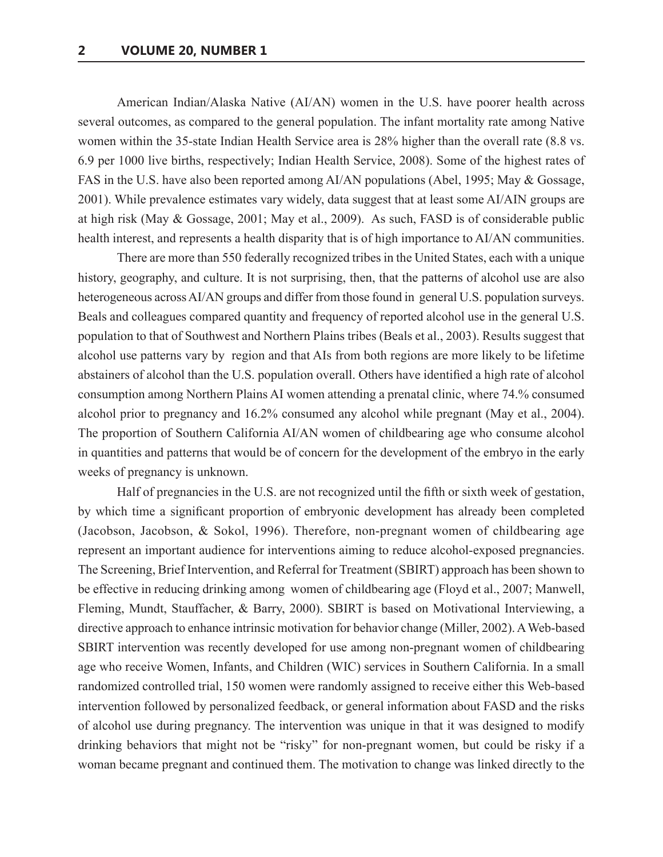American Indian/Alaska Native (AI/AN) women in the U.S. have poorer health across several outcomes, as compared to the general population. The infant mortality rate among Native women within the 35-state Indian Health Service area is 28% higher than the overall rate (8.8 vs. 6.9 per 1000 live births, respectively; Indian Health Service, 2008). Some of the highest rates of FAS in the U.S. have also been reported among AI/AN populations (Abel, 1995; May & Gossage, 2001). While prevalence estimates vary widely, data suggest that at least some AI/AIN groups are at high risk (May & Gossage, 2001; May et al., 2009). As such, FASD is of considerable public health interest, and represents a health disparity that is of high importance to AI/AN communities.

There are more than 550 federally recognized tribes in the United States, each with a unique history, geography, and culture. It is not surprising, then, that the patterns of alcohol use are also heterogeneous across AI/AN groups and differ from those found in general U.S. population surveys. Beals and colleagues compared quantity and frequency of reported alcohol use in the general U.S. population to that of Southwest and Northern Plains tribes (Beals et al., 2003). Results suggest that alcohol use patterns vary by region and that AIs from both regions are more likely to be lifetime abstainers of alcohol than the U.S. population overall. Others have identified a high rate of alcohol consumption among Northern Plains AI women attending a prenatal clinic, where 74.% consumed alcohol prior to pregnancy and 16.2% consumed any alcohol while pregnant (May et al., 2004). The proportion of Southern California AI/AN women of childbearing age who consume alcohol in quantities and patterns that would be of concern for the development of the embryo in the early weeks of pregnancy is unknown.

Half of pregnancies in the U.S. are not recognized until the fifth or sixth week of gestation, by which time a significant proportion of embryonic development has already been completed (Jacobson, Jacobson, & Sokol, 1996). Therefore, non-pregnant women of childbearing age represent an important audience for interventions aiming to reduce alcohol-exposed pregnancies. The Screening, Brief Intervention, and Referral for Treatment (SBIRT) approach has been shown to be effective in reducing drinking among women of childbearing age (Floyd et al., 2007; Manwell, Fleming, Mundt, Stauffacher, & Barry, 2000). SBIRT is based on Motivational Interviewing, a directive approach to enhance intrinsic motivation for behavior change (Miller, 2002). A Web-based SBIRT intervention was recently developed for use among non-pregnant women of childbearing age who receive Women, Infants, and Children (WIC) services in Southern California. In a small randomized controlled trial, 150 women were randomly assigned to receive either this Web-based intervention followed by personalized feedback, or general information about FASD and the risks of alcohol use during pregnancy. The intervention was unique in that it was designed to modify drinking behaviors that might not be "risky" for non-pregnant women, but could be risky if a woman became pregnant and continued them. The motivation to change was linked directly to the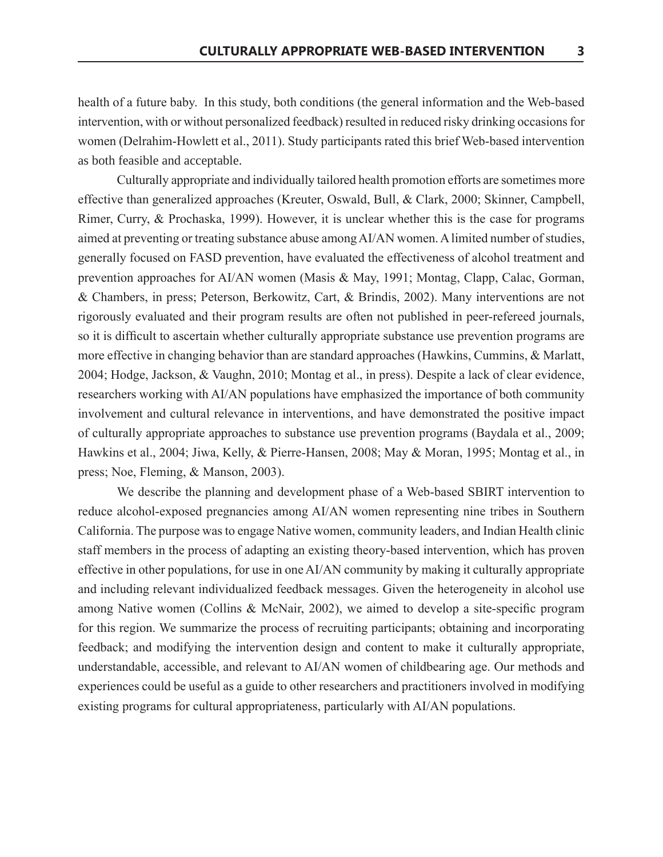health of a future baby. In this study, both conditions (the general information and the Web-based intervention, with or without personalized feedback) resulted in reduced risky drinking occasions for women (Delrahim-Howlett et al., 2011). Study participants rated this brief Web-based intervention as both feasible and acceptable.

Culturally appropriate and individually tailored health promotion efforts are sometimes more effective than generalized approaches (Kreuter, Oswald, Bull, & Clark, 2000; Skinner, Campbell, Rimer, Curry, & Prochaska, 1999). However, it is unclear whether this is the case for programs aimed at preventing or treating substance abuse among AI/AN women. A limited number of studies, generally focused on FASD prevention, have evaluated the effectiveness of alcohol treatment and prevention approaches for AI/AN women (Masis & May, 1991; Montag, Clapp, Calac, Gorman, & Chambers, in press; Peterson, Berkowitz, Cart, & Brindis, 2002). Many interventions are not rigorously evaluated and their program results are often not published in peer-refereed journals, so it is difficult to ascertain whether culturally appropriate substance use prevention programs are more effective in changing behavior than are standard approaches (Hawkins, Cummins, & Marlatt, 2004; Hodge, Jackson, & Vaughn, 2010; Montag et al., in press). Despite a lack of clear evidence, researchers working with AI/AN populations have emphasized the importance of both community involvement and cultural relevance in interventions, and have demonstrated the positive impact of culturally appropriate approaches to substance use prevention programs (Baydala et al., 2009; Hawkins et al., 2004; Jiwa, Kelly, & Pierre-Hansen, 2008; May & Moran, 1995; Montag et al., in press; Noe, Fleming, & Manson, 2003).

We describe the planning and development phase of a Web-based SBIRT intervention to reduce alcohol-exposed pregnancies among AI/AN women representing nine tribes in Southern California. The purpose was to engage Native women, community leaders, and Indian Health clinic staff members in the process of adapting an existing theory-based intervention, which has proven effective in other populations, for use in one AI/AN community by making it culturally appropriate and including relevant individualized feedback messages. Given the heterogeneity in alcohol use among Native women (Collins & McNair, 2002), we aimed to develop a site-specific program for this region. We summarize the process of recruiting participants; obtaining and incorporating feedback; and modifying the intervention design and content to make it culturally appropriate, understandable, accessible, and relevant to AI/AN women of childbearing age. Our methods and experiences could be useful as a guide to other researchers and practitioners involved in modifying existing programs for cultural appropriateness, particularly with AI/AN populations.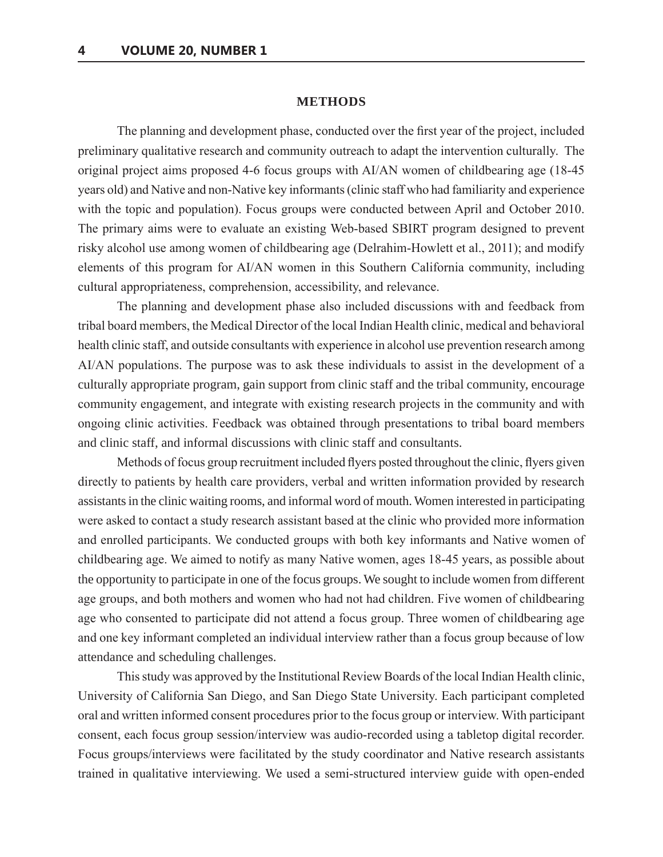#### **METHODS**

The planning and development phase, conducted over the first year of the project, included preliminary qualitative research and community outreach to adapt the intervention culturally. The original project aims proposed 4-6 focus groups with AI/AN women of childbearing age (18-45) years old) and Native and non-Native key informants (clinic staff who had familiarity and experience with the topic and population). Focus groups were conducted between April and October 2010. The primary aims were to evaluate an existing Web-based SBIRT program designed to prevent risky alcohol use among women of childbearing age (Delrahim-Howlett et al., 2011); and modify elements of this program for AI/AN women in this Southern California community, including cultural appropriateness, comprehension, accessibility, and relevance.

The planning and development phase also included discussions with and feedback from tribal board members, the Medical Director of the local Indian Health clinic, medical and behavioral health clinic staff, and outside consultants with experience in alcohol use prevention research among AI/AN populations. The purpose was to ask these individuals to assist in the development of a culturally appropriate program, gain support from clinic staff and the tribal community, encourage community engagement, and integrate with existing research projects in the community and with ongoing clinic activities. Feedback was obtained through presentations to tribal board members and clinic staff, and informal discussions with clinic staff and consultants.

Methods of focus group recruitment included flyers posted throughout the clinic, flyers given directly to patients by health care providers, verbal and written information provided by research assistants in the clinic waiting rooms, and informal word of mouth. Women interested in participating were asked to contact a study research assistant based at the clinic who provided more information and enrolled participants. We conducted groups with both key informants and Native women of childbearing age. We aimed to notify as many Native women, ages 18-45 years, as possible about the opportunity to participate in one of the focus groups. We sought to include women from different age groups, and both mothers and women who had not had children. Five women of childbearing age who consented to participate did not attend a focus group. Three women of childbearing age and one key informant completed an individual interview rather than a focus group because of low attendance and scheduling challenges.

This study was approved by the Institutional Review Boards of the local Indian Health clinic, University of California San Diego, and San Diego State University. Each participant completed oral and written informed consent procedures prior to the focus group or interview. With participant consent, each focus group session/interview was audio-recorded using a tabletop digital recorder. Focus groups/interviews were facilitated by the study coordinator and Native research assistants trained in qualitative interviewing. We used a semi-structured interview guide with open-ended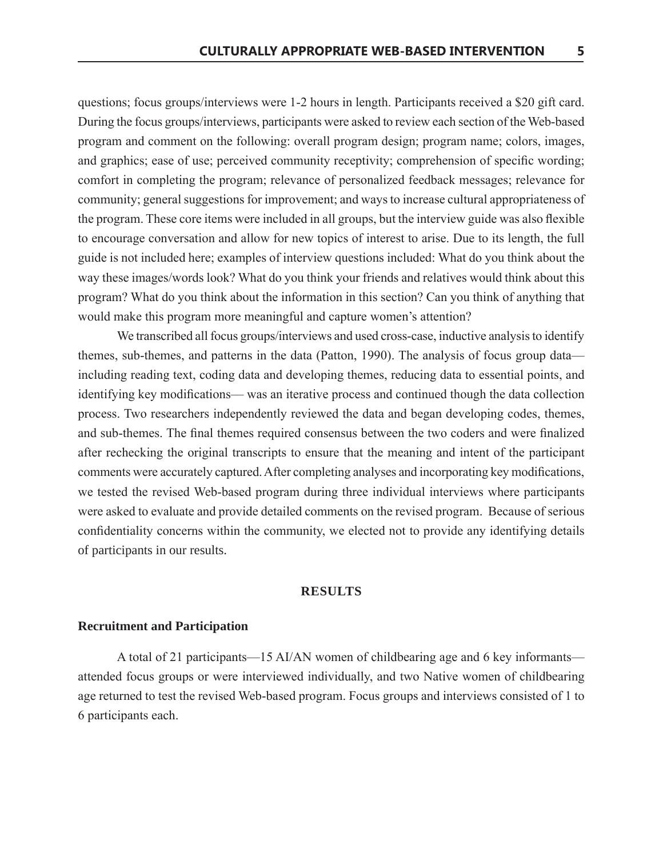questions; focus groups/interviews were 1-2 hours in length. Participants received a \$20 gift card. During the focus groups/interviews, participants were asked to review each section of the Web-based program and comment on the following: overall program design; program name; colors, images, and graphics; ease of use; perceived community receptivity; comprehension of specific wording; comfort in completing the program; relevance of personalized feedback messages; relevance for community; general suggestions for improvement; and ways to increase cultural appropriateness of the program. These core items were included in all groups, but the interview guide was also flexible to encourage conversation and allow for new topics of interest to arise. Due to its length, the full guide is not included here; examples of interview questions included: What do you think about the way these images/words look? What do you think your friends and relatives would think about this program? What do you think about the information in this section? Can you think of anything that would make this program more meaningful and capture women's attention?

We transcribed all focus groups/interviews and used cross-case, inductive analysis to identify themes, sub-themes, and patterns in the data (Patton, 1990). The analysis of focus group data including reading text, coding data and developing themes, reducing data to essential points, and identifying key modifications— was an iterative process and continued though the data collection process. Two researchers independently reviewed the data and began developing codes, themes, and sub-themes. The final themes required consensus between the two coders and were finalized after rechecking the original transcripts to ensure that the meaning and intent of the participant comments were accurately captured. After completing analyses and incorporating key modifications, we tested the revised Web-based program during three individual interviews where participants were asked to evaluate and provide detailed comments on the revised program. Because of serious confidentiality concerns within the community, we elected not to provide any identifying details of participants in our results.

## **RESULTS**

## **Recruitment and Participation**

A total of 21 participants—15 AI/AN women of childbearing age and 6 key informants attended focus groups or were interviewed individually, and two Native women of childbearing age returned to test the revised Web-based program. Focus groups and interviews consisted of 1 to 6 participants each.

5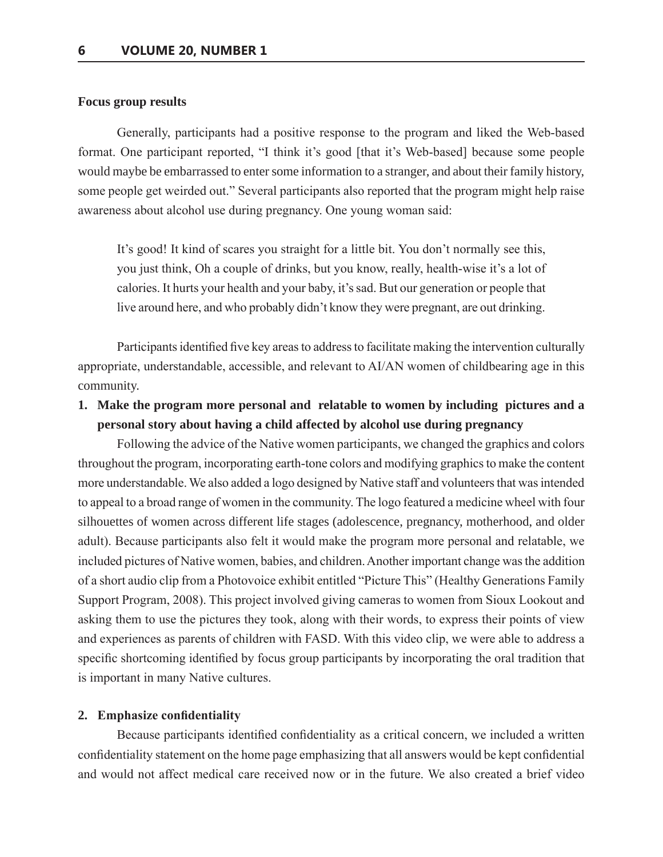#### **Focus group results**

Generally, participants had a positive response to the program and liked the Web-based format. One participant reported, "I think it's good [that it's Web-based] because some people would maybe be embarrassed to enter some information to a stranger, and about their family history, some people get weirded out." Several participants also reported that the program might help raise awareness about alcohol use during pregnancy. One young woman said:

It's good! It kind of scares you straight for a little bit. You don't normally see this, you just think, Oh a couple of drinks, but you know, really, health-wise it's a lot of calories. It hurts your health and your baby, it's sad. But our generation or people that live around here, and who probably didn't know they were pregnant, are out drinking.

Participants identified five key areas to address to facilitate making the intervention culturally appropriate, understandable, accessible, and relevant to AI/AN women of childbearing age in this community.

**1. Make the program more personal and relatable to women by including pictures and a personal story about having a child affected by alcohol use during pregnancy**

Following the advice of the Native women participants, we changed the graphics and colors throughout the program, incorporating earth-tone colors and modifying graphics to make the content more understandable. We also added a logo designed by Native staff and volunteers that was intended to appeal to a broad range of women in the community. The logo featured a medicine wheel with four silhouettes of women across different life stages (adolescence, pregnancy, motherhood, and older adult). Because participants also felt it would make the program more personal and relatable, we included pictures of Native women, babies, and children. Another important change was the addition of a short audio clip from a Photovoice exhibit entitled "Picture This" (Healthy Generations Family Support Program, 2008). This project involved giving cameras to women from Sioux Lookout and asking them to use the pictures they took, along with their words, to express their points of view and experiences as parents of children with FASD. With this video clip, we were able to address a specific shortcoming identified by focus group participants by incorporating the oral tradition that is important in many Native cultures.

#### **2. Emphasize confidentiality**

Because participants identified confidentiality as a critical concern, we included a written confidentiality statement on the home page emphasizing that all answers would be kept confidential and would not affect medical care received now or in the future. We also created a brief video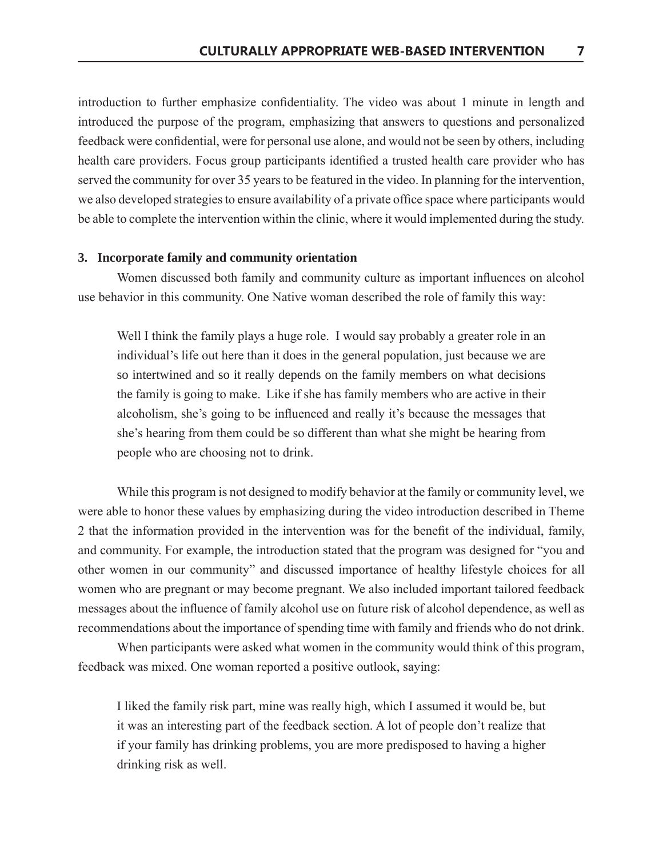introduction to further emphasize confidentiality. The video was about 1 minute in length and introduced the purpose of the program, emphasizing that answers to questions and personalized feedback were confidential, were for personal use alone, and would not be seen by others, including health care providers. Focus group participants identified a trusted health care provider who has served the community for over 35 years to be featured in the video. In planning for the intervention, we also developed strategies to ensure availability of a private office space where participants would be able to complete the intervention within the clinic, where it would implemented during the study.

## 3. Incorporate family and community orientation

Women discussed both family and community culture as important influences on alcohol use behavior in this community. One Native woman described the role of family this way:

Well I think the family plays a huge role. I would say probably a greater role in an individual's life out here than it does in the general population, just because we are so intertwined and so it really depends on the family members on what decisions the family is going to make. Like if she has family members who are active in their alcoholism, she's going to be influenced and really it's because the messages that she's hearing from them could be so different than what she might be hearing from people who are choosing not to drink.

While this program is not designed to modify behavior at the family or community level, we were able to honor these values by emphasizing during the video introduction described in Theme 2 that the information provided in the intervention was for the benefit of the individual, family, and community. For example, the introduction stated that the program was designed for "you and other women in our community" and discussed importance of healthy lifestyle choices for all women who are pregnant or may become pregnant. We also included important tailored feedback messages about the influence of family alcohol use on future risk of alcohol dependence, as well as recommendations about the importance of spending time with family and friends who do not drink.

When participants were asked what women in the community would think of this program, feedback was mixed. One woman reported a positive outlook, saying:

I liked the family risk part, mine was really high, which I assumed it would be, but it was an interesting part of the feedback section. A lot of people don't realize that if your family has drinking problems, you are more predisposed to having a higher drinking risk as well.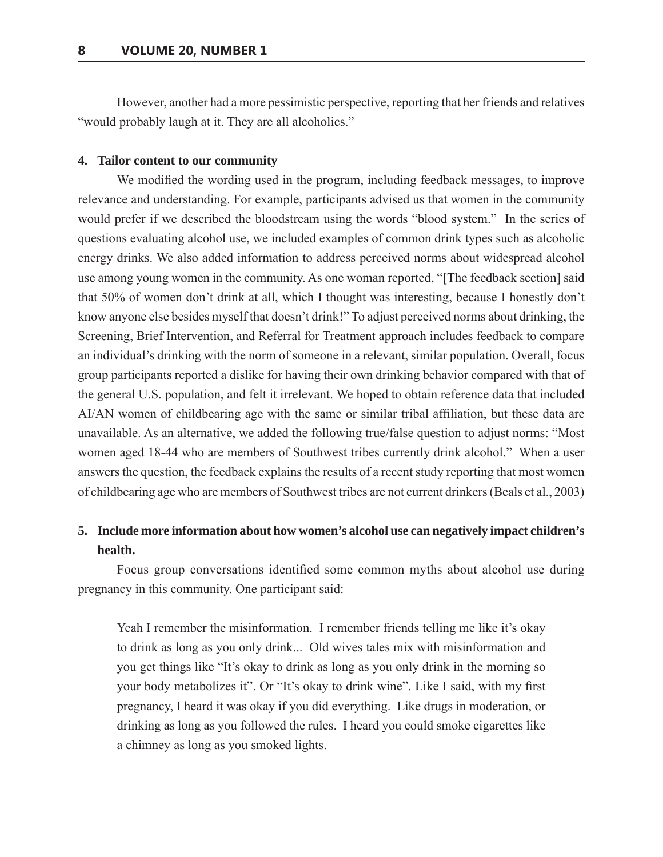However, another had a more pessimistic perspective, reporting that her friends and relatives "would probably laugh at it. They are all alcoholics."

## 4. Tailor content to our community

We modified the wording used in the program, including feedback messages, to improve relevance and understanding. For example, participants advised us that women in the community would prefer if we described the bloodstream using the words "blood system." In the series of questions evaluating alcohol use, we included examples of common drink types such as alcoholic energy drinks. We also added information to address perceived norms about widespread alcohol use among young women in the community. As one woman reported, "The feedback section] said that 50% of women don't drink at all, which I thought was interesting, because I honestly don't know anyone else besides myself that doesn't drink!" To adjust perceived norms about drinking, the Screening, Brief Intervention, and Referral for Treatment approach includes feedback to compare an individual's drinking with the norm of someone in a relevant, similar population. Overall, focus group participants reported a dislike for having their own drinking behavior compared with that of the general U.S. population, and felt it irrelevant. We hoped to obtain reference data that included AI/AN women of childbearing age with the same or similar tribal affiliation, but these data are unavailable. As an alternative, we added the following true/false question to adjust norms: "Most women aged 18-44 who are members of Southwest tribes currently drink alcohol." When a user answers the question, the feedback explains the results of a recent study reporting that most women of childbearing age who are members of Southwest tribes are not current drinkers (Beals et al., 2003)

## 5. Include more information about how women's alcohol use can negatively impact children's health.

Focus group conversations identified some common myths about alcohol use during pregnancy in this community. One participant said:

Yeah I remember the misinformation. I remember friends telling me like it's okay to drink as long as you only drink... Old wives tales mix with misinformation and you get things like "It's okay to drink as long as you only drink in the morning so your body metabolizes it". Or "It's okay to drink wine". Like I said, with my first pregnancy, I heard it was okay if you did everything. Like drugs in moderation, or drinking as long as you followed the rules. I heard you could smoke cigarettes like a chimney as long as you smoked lights.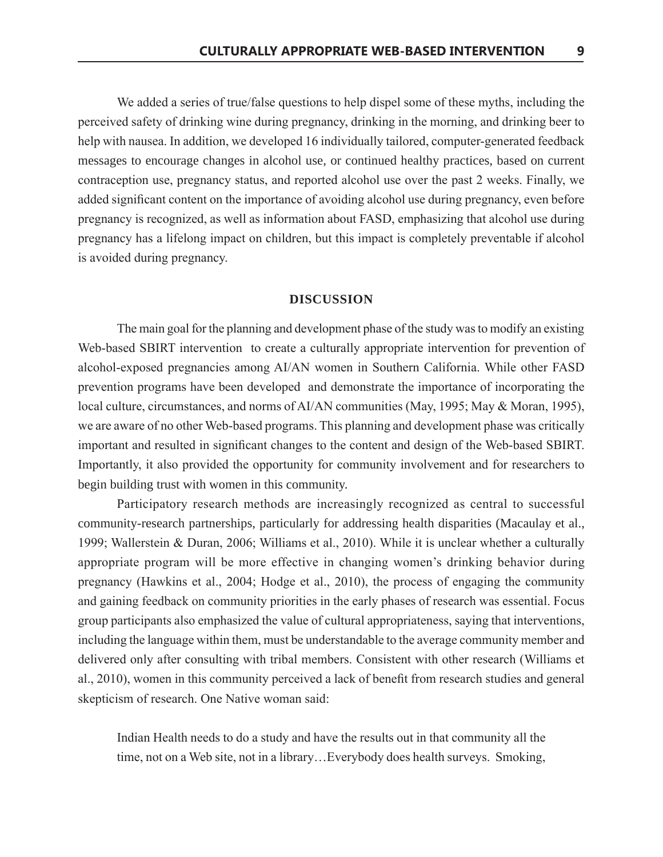We added a series of true/false questions to help dispel some of these myths, including the perceived safety of drinking wine during pregnancy, drinking in the morning, and drinking beer to help with nausea. In addition, we developed 16 individually tailored, computer-generated feedback messages to encourage changes in alcohol use, or continued healthy practices, based on current contraception use, pregnancy status, and reported alcohol use over the past 2 weeks. Finally, we added significant content on the importance of avoiding alcohol use during pregnancy, even before pregnancy is recognized, as well as information about FASD, emphasizing that alcohol use during pregnancy has a lifelong impact on children, but this impact is completely preventable if alcohol is avoided during pregnancy.

## **DISCUSSION**

The main goal for the planning and development phase of the study was to modify an existing Web-based SBIRT intervention to create a culturally appropriate intervention for prevention of alcohol-exposed pregnancies among AI/AN women in Southern California. While other FASD prevention programs have been developed and demonstrate the importance of incorporating the local culture, circumstances, and norms of AI/AN communities (May, 1995; May & Moran, 1995), we are aware of no other Web-based programs. This planning and development phase was critically important and resulted in significant changes to the content and design of the Web-based SBIRT. Importantly, it also provided the opportunity for community involvement and for researchers to begin building trust with women in this community.

Participatory research methods are increasingly recognized as central to successful community-research partnerships, particularly for addressing health disparities (Macaulay et al., 1999; Wallerstein & Duran, 2006; Williams et al., 2010). While it is unclear whether a culturally appropriate program will be more effective in changing women's drinking behavior during pregnancy (Hawkins et al., 2004; Hodge et al., 2010), the process of engaging the community and gaining feedback on community priorities in the early phases of research was essential. Focus group participants also emphasized the value of cultural appropriateness, saying that interventions, including the language within them, must be understandable to the average community member and delivered only after consulting with tribal members. Consistent with other research (Williams et al., 2010), women in this community perceived a lack of benefit from research studies and general skepticism of research. One Native woman said:

Indian Health needs to do a study and have the results out in that community all the time, not on a Web site, not in a library...Everybody does health surveys. Smoking,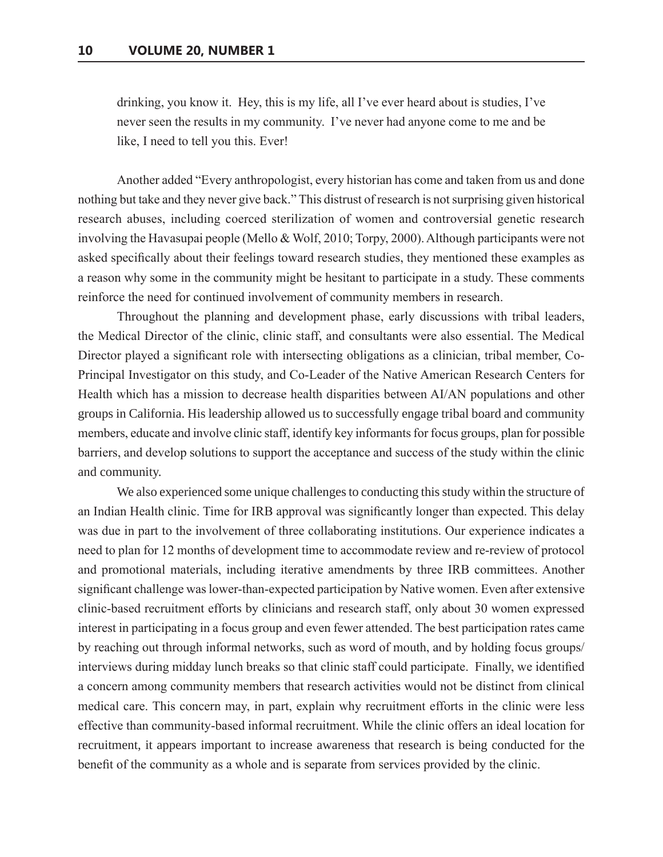drinking, you know it. Hey, this is my life, all I've ever heard about is studies, I've never seen the results in my community. I've never had anyone come to me and be like, I need to tell you this. Ever!

Another added "Every anthropologist, every historian has come and taken from us and done nothing but take and they never give back." This distrust of research is not surprising given historical research abuses, including coerced sterilization of women and controversial genetic research involving the Havasupai people (Mello & Wolf, 2010; Torpy, 2000). Although participants were not asked specifically about their feelings toward research studies, they mentioned these examples as a reason why some in the community might be hesitant to participate in a study. These comments reinforce the need for continued involvement of community members in research.

Throughout the planning and development phase, early discussions with tribal leaders, the Medical Director of the clinic, clinic staff, and consultants were also essential. The Medical Director played a significant role with intersecting obligations as a clinician, tribal member, Co-Principal Investigator on this study, and Co-Leader of the Native American Research Centers for Health which has a mission to decrease health disparities between AI/AN populations and other groups in California. His leadership allowed us to successfully engage tribal board and community members, educate and involve clinic staff, identify key informants for focus groups, plan for possible barriers, and develop solutions to support the acceptance and success of the study within the clinic and community.

We also experienced some unique challenges to conducting this study within the structure of an Indian Health clinic. Time for IRB approval was significantly longer than expected. This delay was due in part to the involvement of three collaborating institutions. Our experience indicates a need to plan for 12 months of development time to accommodate review and re-review of protocol and promotional materials, including iterative amendments by three IRB committees. Another significant challenge was lower-than-expected participation by Native women. Even after extensive clinic-based recruitment efforts by clinicians and research staff, only about 30 women expressed interest in participating in a focus group and even fewer attended. The best participation rates came by reaching out through informal networks, such as word of mouth, and by holding focus groups/ interviews during midday lunch breaks so that clinic staff could participate. Finally, we identified a concern among community members that research activities would not be distinct from clinical medical care. This concern may, in part, explain why recruitment efforts in the clinic were less effective than community-based informal recruitment. While the clinic offers an ideal location for recruitment, it appears important to increase awareness that research is being conducted for the benefit of the community as a whole and is separate from services provided by the clinic.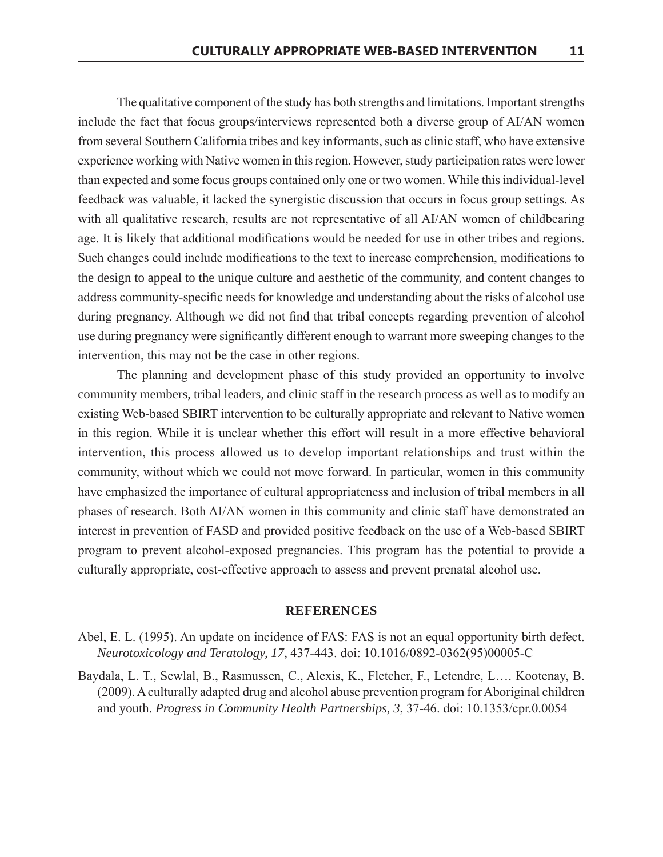The qualitative component of the study has both strengths and limitations. Important strengths include the fact that focus groups/interviews represented both a diverse group of AI/AN women from several Southern California tribes and key informants, such as clinic staff, who have extensive experience working with Native women in this region. However, study participation rates were lower than expected and some focus groups contained only one or two women. While this individual-level feedback was valuable, it lacked the synergistic discussion that occurs in focus group settings. As with all qualitative research, results are not representative of all AI/AN women of childbearing age. It is likely that additional modifications would be needed for use in other tribes and regions. Such changes could include modifications to the text to increase comprehension, modifications to the design to appeal to the unique culture and aesthetic of the community, and content changes to address community-specific needs for knowledge and understanding about the risks of alcohol use during pregnancy. Although we did not find that tribal concepts regarding prevention of alcohol use during pregnancy were significantly different enough to warrant more sweeping changes to the intervention, this may not be the case in other regions.

The planning and development phase of this study provided an opportunity to involve community members, tribal leaders, and clinic staff in the research process as well as to modify an existing Web-based SBIRT intervention to be culturally appropriate and relevant to Native women in this region. While it is unclear whether this effort will result in a more effective behavioral intervention, this process allowed us to develop important relationships and trust within the community, without which we could not move forward. In particular, women in this community have emphasized the importance of cultural appropriateness and inclusion of tribal members in all phases of research. Both AI/AN women in this community and clinic staff have demonstrated an interest in prevention of FASD and provided positive feedback on the use of a Web-based SBIRT program to prevent alcohol-exposed pregnancies. This program has the potential to provide a culturally appropriate, cost-effective approach to assess and prevent prenatal alcohol use.

#### **REFERENCES**

- Abel, E. L. (1995). An update on incidence of FAS: FAS is not an equal opportunity birth defect. Neurotoxicology and Teratology, 17, 437-443. doi: 10.1016/0892-0362(95)00005-C
- Baydala, L. T., Sewlal, B., Rasmussen, C., Alexis, K., Fletcher, F., Letendre, L.... Kootenay, B. (2009). A culturally adapted drug and alcohol abuse prevention program for Aboriginal children and youth. Progress in Community Health Partnerships, 3, 37-46. doi: 10.1353/cpr.0.0054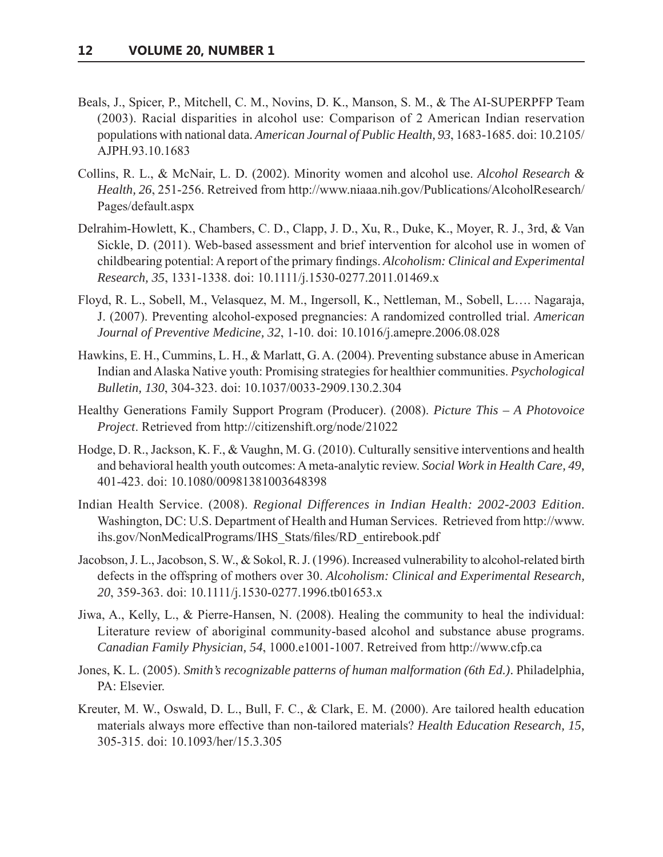- Beals, J., Spicer, P., Mitchell, C. M., Novins, D. K., Manson, S. M., & The AI-SUPERPFP Team (2003). Racial disparities in alcohol use: Comparison of 2 American Indian reservation populations with national data. American Journal of Public Health, 93, 1683-1685. doi: 10.2105/ AJPH.93.10.1683
- Collins, R. L., & McNair, L. D. (2002). Minority women and alcohol use. Alcohol Research & Health, 26, 251-256. Retreived from http://www.niaaa.nih.gov/Publications/AlcoholResearch/ Pages/default.aspx
- Delrahim-Howlett, K., Chambers, C. D., Clapp, J. D., Xu, R., Duke, K., Moyer, R. J., 3rd, & Van Sickle, D. (2011). Web-based assessment and brief intervention for alcohol use in women of childbearing potential: A report of the primary findings. Alcoholism: Clinical and Experimental Research, 35, 1331-1338. doi: 10.1111/j.1530-0277.2011.01469.x
- Floyd, R. L., Sobell, M., Velasquez, M. M., Ingersoll, K., Nettleman, M., Sobell, L.... Nagaraja, J. (2007). Preventing alcohol-exposed pregnancies: A randomized controlled trial. American Journal of Preventive Medicine, 32, 1-10. doi: 10.1016/j.amepre.2006.08.028
- Hawkins, E. H., Cummins, L. H., & Marlatt, G. A. (2004). Preventing substance abuse in American Indian and Alaska Native youth: Promising strategies for healthier communities. *Psychological* Bulletin, 130, 304-323. doi: 10.1037/0033-2909.130.2.304
- Healthy Generations Family Support Program (Producer). (2008). Picture This A Photovoice Project. Retrieved from http://citizenshift.org/node/21022
- Hodge, D. R., Jackson, K. F., & Vaughn, M. G. (2010). Culturally sensitive interventions and health and behavioral health youth outcomes: A meta-analytic review. Social Work in Health Care, 49, 401-423. doi: 10.1080/00981381003648398
- Indian Health Service. (2008). Regional Differences in Indian Health: 2002-2003 Edition. Washington, DC: U.S. Department of Health and Human Services. Retrieved from http://www. ihs.gov/NonMedicalPrograms/IHS Stats/files/RD entirebook.pdf
- Jacobson, J. L., Jacobson, S. W., & Sokol, R. J. (1996). Increased vulnerability to alcohol-related birth defects in the offspring of mothers over 30. Alcoholism: Clinical and Experimental Research, 20, 359-363. doi: 10.1111/j.1530-0277.1996.tb01653.x
- Jiwa, A., Kelly, L., & Pierre-Hansen, N. (2008). Healing the community to heal the individual: Literature review of aboriginal community-based alcohol and substance abuse programs. Canadian Family Physician, 54, 1000.e1001-1007. Retreived from http://www.cfp.ca
- Jones, K. L. (2005). Smith's recognizable patterns of human malformation (6th Ed.). Philadelphia, PA: Elsevier.
- Kreuter, M. W., Oswald, D. L., Bull, F. C., & Clark, E. M. (2000). Are tailored health education materials always more effective than non-tailored materials? Health Education Research, 15, 305-315. doi: 10.1093/her/15.3.305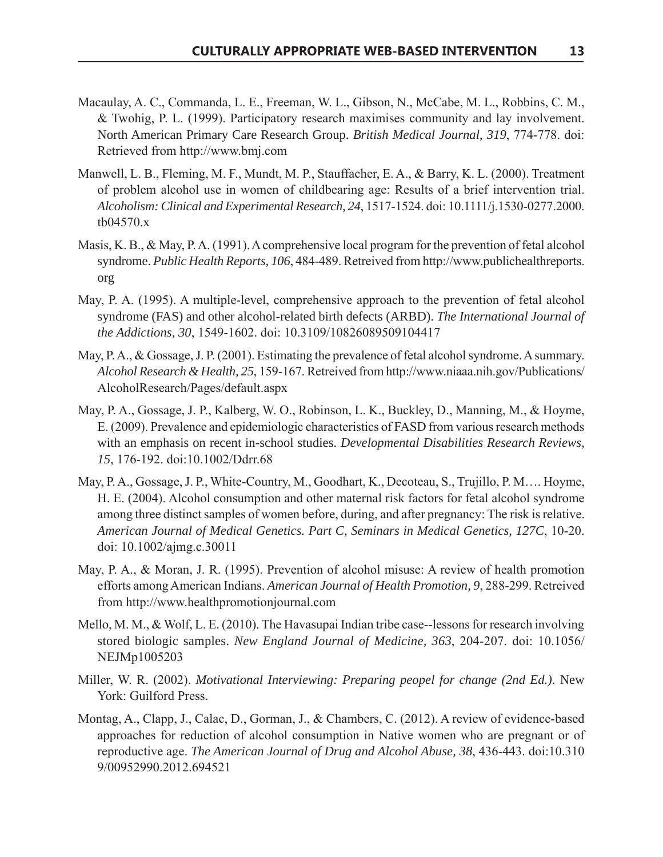- Macaulay, A. C., Commanda, L. E., Freeman, W. L., Gibson, N., McCabe, M. L., Robbins, C. M., & Twohig, P. L. (1999). Participatory research maximises community and lay involvement. North American Primary Care Research Group. British Medical Journal, 319, 774-778. doi: Retrieved from http://www.bmj.com
- Manwell, L. B., Fleming, M. F., Mundt, M. P., Stauffacher, E. A., & Barry, K. L. (2000). Treatment of problem alcohol use in women of childbearing age: Results of a brief intervention trial. Alcoholism: Clinical and Experimental Research, 24, 1517-1524. doi: 10.1111/j.1530-0277.2000.  $tb04570.x$
- Masis, K. B., & May, P. A. (1991). A comprehensive local program for the prevention of fetal alcohol syndrome. Public Health Reports, 106, 484-489. Retreived from http://www.publichealthreports. org
- May, P. A. (1995). A multiple-level, comprehensive approach to the prevention of fetal alcohol syndrome (FAS) and other alcohol-related birth defects (ARBD). The International Journal of the Addictions, 30, 1549-1602. doi: 10.3109/10826089509104417
- May, P.A., & Gossage, J.P. (2001). Estimating the prevalence of fetal alcohol syndrome. A summary. Alcohol Research & Health, 25, 159-167. Retreived from http://www.niaaa.nih.gov/Publications/ AlcoholResearch/Pages/default.aspx
- May, P. A., Gossage, J. P., Kalberg, W. O., Robinson, L. K., Buckley, D., Manning, M., & Hoyme, E. (2009). Prevalence and epidemiologic characteristics of FASD from various research methods with an emphasis on recent in-school studies. Developmental Disabilities Research Reviews, 15, 176-192. doi:10.1002/Ddrr.68
- May, P. A., Gossage, J. P., White-Country, M., Goodhart, K., Decoteau, S., Trujillo, P. M.... Hoyme, H. E. (2004). Alcohol consumption and other maternal risk factors for fetal alcohol syndrome among three distinct samples of women before, during, and after pregnancy. The risk is relative. American Journal of Medical Genetics. Part C, Seminars in Medical Genetics, 127C, 10-20. doi: 10.1002/ajmg.c.30011
- May, P. A., & Moran, J. R. (1995). Prevention of alcohol misuse: A review of health promotion efforts among American Indians. American Journal of Health Promotion, 9, 288-299. Retreived from http://www.healthpromotionjournal.com
- Mello, M. M., & Wolf, L. E. (2010). The Havasupai Indian tribe case-lessons for research involving stored biologic samples. New England Journal of Medicine, 363, 204-207. doi: 10.1056/ NEJMp1005203
- Miller, W. R. (2002). Motivational Interviewing: Preparing peopel for change (2nd Ed.). New York: Guilford Press.
- Montag, A., Clapp, J., Calac, D., Gorman, J., & Chambers, C. (2012). A review of evidence-based approaches for reduction of alcohol consumption in Native women who are pregnant or of reproductive age. The American Journal of Drug and Alcohol Abuse, 38, 436-443. doi:10.310 9/00952990.2012.694521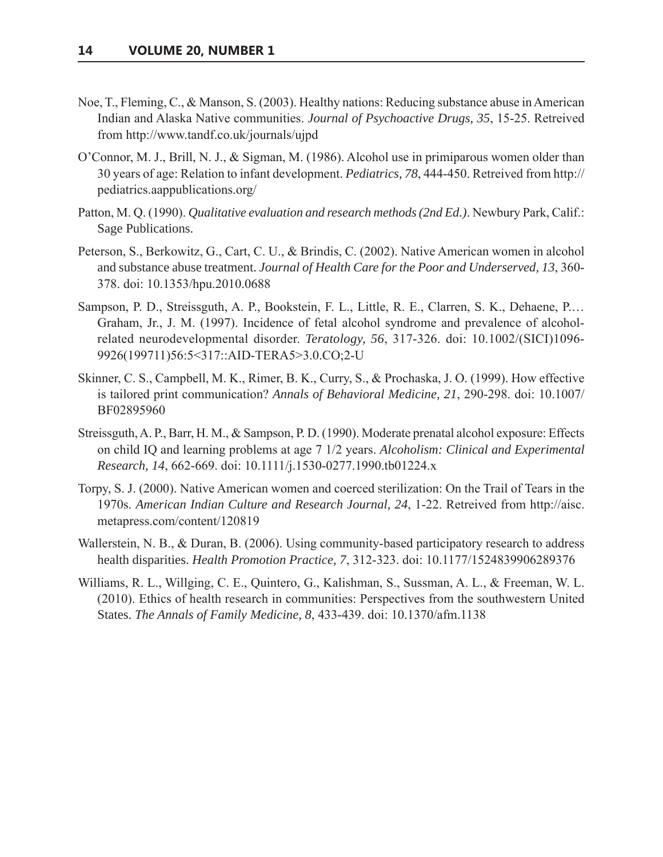- Noe, T., Fleming, C., & Manson, S. (2003). Healthy nations: Reducing substance abuse in American Indian and Alaska Native communities. Journal of Psychoactive Drugs, 35, 15-25. Retreived from http://www.tandf.co.uk/journals/ujpd
- O'Connor, M. J., Brill, N. J., & Sigman, M. (1986). Alcohol use in primiparous women older than  $\frac{30}{120}$  years of age: Relation to infant development. *Pediatrics*, 78, 444-450. Retreived from http:// pediatrics.aappublications.org/
- Patton, M. Q. (1990). Qualitative evaluation and research methods (2nd Ed.). Newbury Park, Calif.: Sage Publications.
- Peterson, S., Berkowitz, G., Cart, C. U., & Brindis, C. (2002). Native American women in alcohol and substance abuse treatment. *Journal of Health Care for the Poor and Underserved, 13* 378. doi: 10.1353/hpu.2010.0688
- Sampson, P. D., Streissguth, A. P., Bookstein, F. L., Little, R. E., Clarren, S. K., Dehaene, P.... Graham, Jr., J. M. (1997). Incidence of fetal alcohol syndrome and prevalence of alcoholrelated neurodevelopmental disorder. Teratology, 56, 317-326. doi: 10.1002/(SICI)1096-9926(199711)56:5<317::AID-TERA5>3.0.CO;2-U
- Skinner, C. S., Campbell, M. K., Rimer, B. K., Curry, S., & Prochaska, J. O. (1999). How effective is tailored print communication? Annals of Behavioral Medicine, 21, 290-298. doi: 10.1007/ BF02895960
- Streissguth, A. P., Barr, H. M., & Sampson, P. D. (1990). Moderate prenatal alcohol exposure: Effects on child IQ and learning problems at age 7 1/2 years. Alcoholism: Clinical and Experimental *Research, 14, 662-669. doi: 10.1111/j.1530-0277.1990.tb01224.x*
- Torpy, S. J. (2000). Native American women and coerced sterilization: On the Trail of Tears in the 1970s. American Indian Culture and Research Journal, 24, 1-22. Retreived from http://aisc. metapress.com/content/120819
- Wallerstein, N. B., & Duran, B. (2006). Using community-based participatory research to address health disparities. *Health Promotion Practice*, 7, 312-323. doi: 10.1177/1524839906289376
- Williams, R. L., Willging, C. E., Quintero, G., Kalishman, S., Sussman, A. L., & Freeman, W. L. (2010). Ethics of health research in communities: Perspectives from the southwestern United States. *The Annals of Family Medicine*, 8, 433-439. doi: 10.1370/afm.1138